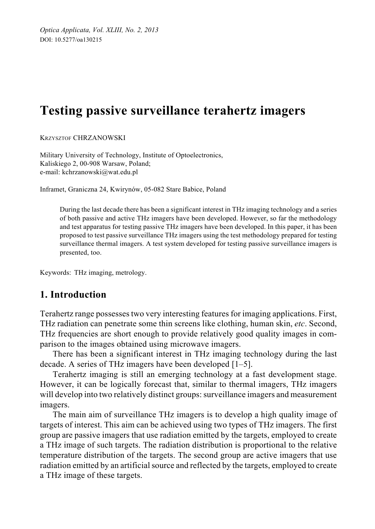# **Testing passive surveillance terahertz imagers**

KRZYSZTOF CHRZANOWSKI

Military University of Technology, Institute of Optoelectronics, Kaliskiego 2, 00-908 Warsaw, Poland; e-mail: kchrzanowski@wat.edu.pl

Inframet, Graniczna 24, Kwirynów, 05-082 Stare Babice, Poland

During the last decade there has been a significant interest in THz imaging technology and a series of both passive and active THz imagers have been developed. However, so far the methodology and test apparatus for testing passive THz imagers have been developed. In this paper, it has been proposed to test passive surveillance THz imagers using the test methodology prepared for testing surveillance thermal imagers. A test system developed for testing passive surveillance imagers is presented, too.

Keywords: THz imaging, metrology.

# **1. Introduction**

Terahertz range possesses two very interesting features for imaging applications. First, THz radiation can penetrate some thin screens like clothing, human skin, *etc*. Second, THz frequencies are short enough to provide relatively good quality images in comparison to the images obtained using microwave imagers.

There has been a significant interest in THz imaging technology during the last decade. A series of THz imagers have been developed [1–5].

Terahertz imaging is still an emerging technology at a fast development stage. However, it can be logically forecast that, similar to thermal imagers, THz imagers will develop into two relatively distinct groups: surveillance imagers and measurement imagers.

The main aim of surveillance THz imagers is to develop a high quality image of targets of interest. This aim can be achieved using two types of THz imagers. The first group are passive imagers that use radiation emitted by the targets, employed to create a THz image of such targets. The radiation distribution is proportional to the relative temperature distribution of the targets. The second group are active imagers that use radiation emitted by an artificial source and reflected by the targets, employed to create a THz image of these targets.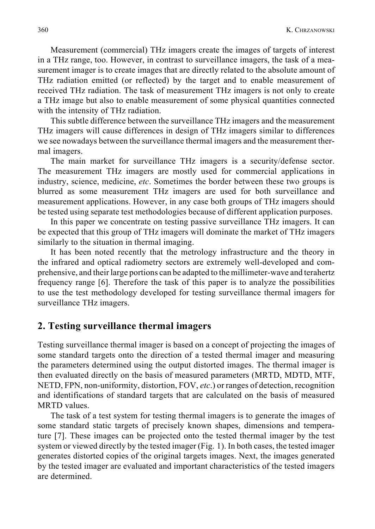Measurement (commercial) THz imagers create the images of targets of interest in a THz range, too. However, in contrast to surveillance imagers, the task of a measurement imager is to create images that are directly related to the absolute amount of THz radiation emitted (or reflected) by the target and to enable measurement of received THz radiation. The task of measurement THz imagers is not only to create a THz image but also to enable measurement of some physical quantities connected with the intensity of THz radiation.

This subtle difference between the surveillance THz imagers and the measurement THz imagers will cause differences in design of THz imagers similar to differences we see nowadays between the surveillance thermal imagers and the measurement thermal imagers.

The main market for surveillance THz imagers is a security/defense sector. The measurement THz imagers are mostly used for commercial applications in industry, science, medicine, *etc*. Sometimes the border between these two groups is blurred as some measurement THz imagers are used for both surveillance and measurement applications. However, in any case both groups of THz imagers should be tested using separate test methodologies because of different application purposes.

In this paper we concentrate on testing passive surveillance THz imagers. It can be expected that this group of THz imagers will dominate the market of THz imagers similarly to the situation in thermal imaging.

It has been noted recently that the metrology infrastructure and the theory in the infrared and optical radiometry sectors are extremely well-developed and comprehensive, and their large portions can be adapted to the millimeter-wave and terahertz frequency range [6]. Therefore the task of this paper is to analyze the possibilities to use the test methodology developed for testing surveillance thermal imagers for surveillance THz imagers.

## **2. Testing surveillance thermal imagers**

Testing surveillance thermal imager is based on a concept of projecting the images of some standard targets onto the direction of a tested thermal imager and measuring the parameters determined using the output distorted images. The thermal imager is then evaluated directly on the basis of measured parameters (MRTD, MDTD, MTF, NETD, FPN, non-uniformity, distortion, FOV, *etc*.) or ranges of detection, recognition and identifications of standard targets that are calculated on the basis of measured MRTD values.

The task of a test system for testing thermal imagers is to generate the images of some standard static targets of precisely known shapes, dimensions and temperature [7]. These images can be projected onto the tested thermal imager by the test system or viewed directly by the tested imager (Fig. 1). In both cases, the tested imager generates distorted copies of the original targets images. Next, the images generated by the tested imager are evaluated and important characteristics of the tested imagers are determined.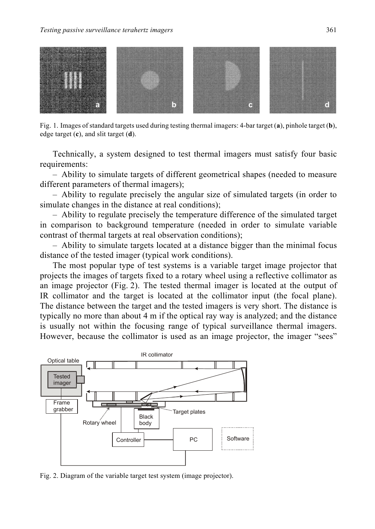#### *Testing passive surveillance terahertz imagers* 361



Fig. 1. Images of standard targets used during testing thermal imagers: 4-bar target (**a**), pinhole target (**b**), edge target (**c**), and slit target (**d**).

Technically, a system designed to test thermal imagers must satisfy four basic requirements:

– Ability to simulate targets of different geometrical shapes (needed to measure different parameters of thermal imagers);

– Ability to regulate precisely the angular size of simulated targets (in order to simulate changes in the distance at real conditions);

– Ability to regulate precisely the temperature difference of the simulated target in comparison to background temperature (needed in order to simulate variable contrast of thermal targets at real observation conditions);

– Ability to simulate targets located at a distance bigger than the minimal focus distance of the tested imager (typical work conditions).

The most popular type of test systems is a variable target image projector that projects the images of targets fixed to a rotary wheel using a reflective collimator as an image projector (Fig. 2). The tested thermal imager is located at the output of IR collimator and the target is located at the collimator input (the focal plane). The distance between the target and the tested imagers is very short. The distance is typically no more than about 4 m if the optical ray way is analyzed; and the distance is usually not within the focusing range of typical surveillance thermal imagers. However, because the collimator is used as an image projector, the imager "sees"



Fig. 2. Diagram of the variable target test system (image projector).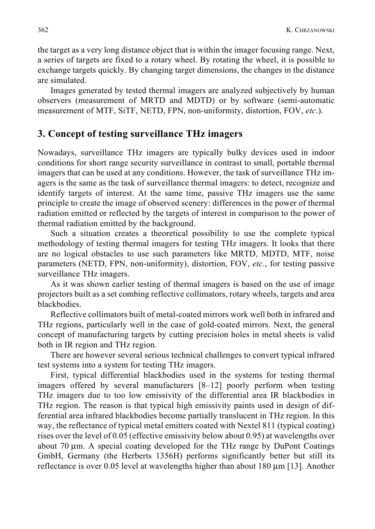the target as a very long distance object that is within the imager focusing range. Next, a series of targets are fixed to a rotary wheel. By rotating the wheel, it is possible to exchange targets quickly. By changing target dimensions, the changes in the distance are simulated.

Images generated by tested thermal imagers are analyzed subjectively by human observers (measurement of MRTD and MDTD) or by software (semi-automatic measurement of MTF, SiTF, NETD, FPN, non-uniformity, distortion, FOV, *etc*.).

# **3. Concept of testing surveillance THz imagers**

Nowadays, surveillance THz imagers are typically bulky devices used in indoor conditions for short range security surveillance in contrast to small, portable thermal imagers that can be used at any conditions. However, the task of surveillance THz imagers is the same as the task of surveillance thermal imagers: to detect, recognize and identify targets of interest. At the same time, passive THz imagers use the same principle to create the image of observed scenery: differences in the power of thermal radiation emitted or reflected by the targets of interest in comparison to the power of thermal radiation emitted by the background.

Such a situation creates a theoretical possibility to use the complete typical methodology of testing thermal imagers for testing THz imagers. It looks that there are no logical obstacles to use such parameters like MRTD, MDTD, MTF, noise parameters (NETD, FPN, non-uniformity), distortion, FOV, *etc*., for testing passive surveillance THz imagers.

As it was shown earlier testing of thermal imagers is based on the use of image projectors built as a set combing reflective collimators, rotary wheels, targets and area blackbodies.

Reflective collimators built of metal-coated mirrors work well both in infrared and THz regions, particularly well in the case of gold-coated mirrors. Next, the general concept of manufacturing targets by cutting precision holes in metal sheets is valid both in IR region and THz region.

There are however several serious technical challenges to convert typical infrared test systems into a system for testing THz imagers.

First, typical differential blackbodies used in the systems for testing thermal imagers offered by several manufacturers [8–12] poorly perform when testing THz imagers due to too low emissivity of the differential area IR blackbodies in THz region. The reason is that typical high emissivity paints used in design of differential area infrared blackbodies become partially translucent in THz region. In this way, the reflectance of typical metal emitters coated with Nextel 811 (typical coating) rises over the level of 0.05 (effective emissivity below about 0.95) at wavelengths over about 70 μm. A special coating developed for the THz range by DuPont Coatings GmbH, Germany (the Herberts 1356H) performs significantly better but still its reflectance is over 0.05 level at wavelengths higher than about 180  $\mu$ m [13]. Another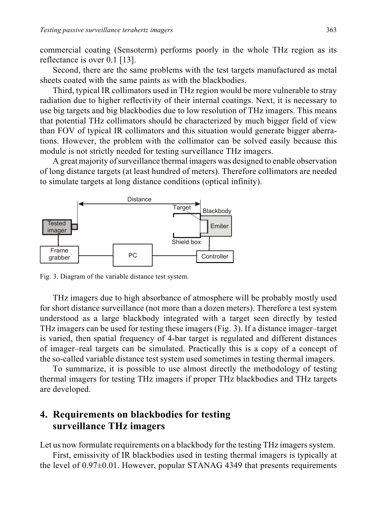commercial coating (Sensoterm) performs poorly in the whole THz region as its reflectance is over 0.1 [13].

Second, there are the same problems with the test targets manufactured as metal sheets coated with the same paints as with the blackbodies.

Third, typical IR collimators used in THz region would be more vulnerable to stray radiation due to higher reflectivity of their internal coatings. Next, it is necessary to use big targets and big blackbodies due to low resolution of THz imagers. This means that potential THz collimators should be characterized by much bigger field of view than FOV of typical IR collimators and this situation would generate bigger aberrations. However, the problem with the collimator can be solved easily because this module is not strictly needed for testing surveillance THz imagers.

A great majority of surveillance thermal imagers was designed to enable observation of long distance targets (at least hundred of meters). Therefore collimators are needed to simulate targets at long distance conditions (optical infinity).



Fig. 3. Diagram of the variable distance test system.

THz imagers due to high absorbance of atmosphere will be probably mostly used for short distance surveillance (not more than a dozen meters). Therefore a test system understood as a large blackbody integrated with a target seen directly by tested THz imagers can be used for testing these imagers (Fig. 3). If a distance imager–target is varied, then spatial frequency of 4-bar target is regulated and different distances of imager–real targets can be simulated. Practically this is a copy of a concept of the so-called variable distance test system used sometimes in testing thermal imagers.

To summarize, it is possible to use almost directly the methodology of testing thermal imagers for testing THz imagers if proper THz blackbodies and THz targets are developed.

# **4. Requirements on blackbodies for testing surveillance THz imagers**

Let us now formulate requirements on a blackbody for the testing THz imagers system.

First, emissivity of IR blackbodies used in testing thermal imagers is typically at the level of 0.97±0.01. However, popular STANAG 4349 that presents requirements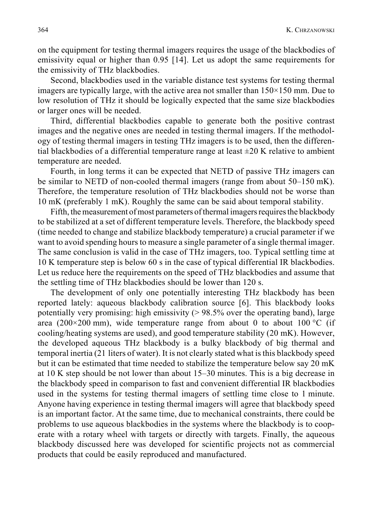on the equipment for testing thermal imagers requires the usage of the blackbodies of emissivity equal or higher than 0.95 [14]. Let us adopt the same requirements for the emissivity of THz blackbodies.

Second, blackbodies used in the variable distance test systems for testing thermal imagers are typically large, with the active area not smaller than 150×150 mm. Due to low resolution of THz it should be logically expected that the same size blackbodies or larger ones will be needed.

Third, differential blackbodies capable to generate both the positive contrast images and the negative ones are needed in testing thermal imagers. If the methodology of testing thermal imagers in testing THz imagers is to be used, then the differential blackbodies of a differential temperature range at least  $\pm 20$  K relative to ambient temperature are needed.

Fourth, in long terms it can be expected that NETD of passive THz imagers can be similar to NETD of non-cooled thermal imagers (range from about 50–150 mK). Therefore, the temperature resolution of THz blackbodies should not be worse than 10 mK (preferably 1 mK). Roughly the same can be said about temporal stability.

Fifth, the measurement of most parameters of thermal imagers requires the blackbody to be stabilized at a set of different temperature levels. Therefore, the blackbody speed (time needed to change and stabilize blackbody temperature) a crucial parameter if we want to avoid spending hours to measure a single parameter of a single thermal imager. The same conclusion is valid in the case of THz imagers, too. Typical settling time at 10 K temperature step is below 60 s in the case of typical differential IR blackbodies. Let us reduce here the requirements on the speed of THz blackbodies and assume that the settling time of THz blackbodies should be lower than 120 s.

The development of only one potentially interesting THz blackbody has been reported lately: aqueous blackbody calibration source [6]. This blackbody looks potentially very promising: high emissivity  $(> 98.5\%$  over the operating band), large area (200×200 mm), wide temperature range from about 0 to about 100  $\degree$ C (if cooling/heating systems are used), and good temperature stability (20 mK). However, the developed aqueous THz blackbody is a bulky blackbody of big thermal and temporal inertia (21 liters of water). It is not clearly stated what is this blackbody speed but it can be estimated that time needed to stabilize the temperature below say 20 mK at 10 K step should be not lower than about 15–30 minutes. This is a big decrease in the blackbody speed in comparison to fast and convenient differential IR blackbodies used in the systems for testing thermal imagers of settling time close to 1 minute. Anyone having experience in testing thermal imagers will agree that blackbody speed is an important factor. At the same time, due to mechanical constraints, there could be problems to use aqueous blackbodies in the systems where the blackbody is to cooperate with a rotary wheel with targets or directly with targets. Finally, the aqueous blackbody discussed here was developed for scientific projects not as commercial products that could be easily reproduced and manufactured.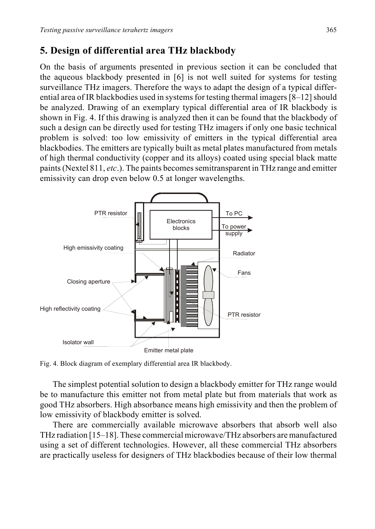# **5. Design of differential area THz blackbody**

On the basis of arguments presented in previous section it can be concluded that the aqueous blackbody presented in [6] is not well suited for systems for testing surveillance THz imagers. Therefore the ways to adapt the design of a typical differential area of IR blackbodies used in systems for testing thermal imagers [8–12] should be analyzed. Drawing of an exemplary typical differential area of IR blackbody is shown in Fig. 4. If this drawing is analyzed then it can be found that the blackbody of such a design can be directly used for testing THz imagers if only one basic technical problem is solved: too low emissivity of emitters in the typical differential area blackbodies. The emitters are typically built as metal plates manufactured from metals of high thermal conductivity (copper and its alloys) coated using special black matte paints (Nextel 811, *etc*.). The paints becomes semitransparent in THz range and emitter emissivity can drop even below 0.5 at longer wavelengths.



Fig. 4. Block diagram of exemplary differential area IR blackbody.

The simplest potential solution to design a blackbody emitter for THz range would be to manufacture this emitter not from metal plate but from materials that work as good THz absorbers. High absorbance means high emissivity and then the problem of low emissivity of blackbody emitter is solved.

There are commercially available microwave absorbers that absorb well also THz radiation [15–18]. These commercial microwave/THz absorbers are manufactured using a set of different technologies. However, all these commercial THz absorbers are practically useless for designers of THz blackbodies because of their low thermal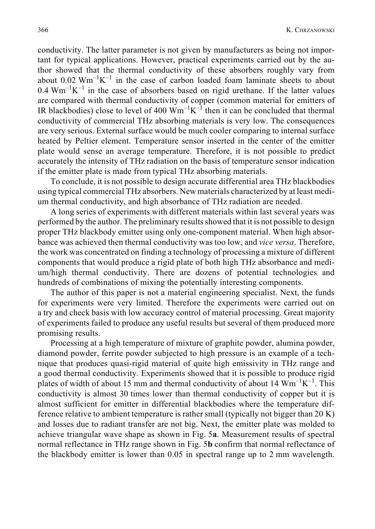conductivity. The latter parameter is not given by manufacturers as being not important for typical applications. However, practical experiments carried out by the author showed that the thermal conductivity of these absorbers roughly vary from about  $0.02 \text{ Wm}^{-1}\text{K}^{-1}$  in the case of carbon loaded foam laminate sheets to about  $0.4 \text{ Wm}^{-1}\text{K}^{-1}$  in the case of absorbers based on rigid urethane. If the latter values are compared with thermal conductivity of copper (common material for emitters of IR blackbodies) close to level of 400  $Wm^{-1}K^{-1}$  then it can be concluded that thermal conductivity of commercial THz absorbing materials is very low. The consequences are very serious. External surface would be much cooler comparing to internal surface heated by Peltier element. Temperature sensor inserted in the center of the emitter plate would sense an average temperature. Therefore, it is not possible to predict accurately the intensity of THz radiation on the basis of temperature sensor indication if the emitter plate is made from typical THz absorbing materials.

To conclude, it is not possible to design accurate differential area THz blackbodies using typical commercial THz absorbers. New materials characterized by at least medium thermal conductivity, and high absorbance of THz radiation are needed.

A long series of experiments with different materials within last several years was performed by the author. The preliminary results showed that it is not possible to design proper THz blackbody emitter using only one-component material. When high absorbance was achieved then thermal conductivity was too low, and *vice versa*. Therefore, the work was concentrated on finding a technology of processing a mixture of different components that would produce a rigid plate of both high THz absorbance and medium/high thermal conductivity. There are dozens of potential technologies and hundreds of combinations of mixing the potentially interesting components.

The author of this paper is not a material engineering specialist. Next, the funds for experiments were very limited. Therefore the experiments were carried out on a try and check basis with low accuracy control of material processing. Great majority of experiments failed to produce any useful results but several of them produced more promising results.

Processing at a high temperature of mixture of graphite powder, alumina powder, diamond powder, ferrite powder subjected to high pressure is an example of a technique that produces quasi-rigid material of quite high emissivity in THz range and a good thermal conductivity. Experiments showed that it is possible to produce rigid plates of width of about 15 mm and thermal conductivity of about 14  $Wm^{-1}K^{-1}$ . This conductivity is almost 30 times lower than thermal conductivity of copper but it is almost sufficient for emitter in differential blackbodies where the temperature difference relative to ambient temperature is rather small (typically not bigger than 20 K) and losses due to radiant transfer are not big. Next, the emitter plate was molded to achieve triangular wave shape as shown in Fig. 5**a**. Measurement results of spectral normal reflectance in THz range shown in Fig. 5**b** confirm that normal reflectance of the blackbody emitter is lower than 0.05 in spectral range up to 2 mm wavelength.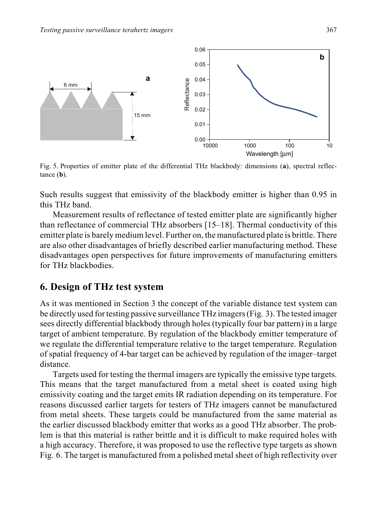

Fig. 5. Properties of emitter plate of the differential THz blackbody: dimensions (**a**), spectral reflectance (**b**).

Such results suggest that emissivity of the blackbody emitter is higher than 0.95 in this THz band.

Measurement results of reflectance of tested emitter plate are significantly higher than reflectance of commercial THz absorbers [15–18]. Thermal conductivity of this emitter plate is barely medium level. Further on, the manufactured plate is brittle. There are also other disadvantages of briefly described earlier manufacturing method. These disadvantages open perspectives for future improvements of manufacturing emitters for THz blackbodies.

## **6. Design of THz test system**

As it was mentioned in Section 3 the concept of the variable distance test system can be directly used for testing passive surveillance THz imagers (Fig. 3). The tested imager sees directly differential blackbody through holes (typically four bar pattern) in a large target of ambient temperature. By regulation of the blackbody emitter temperature of we regulate the differential temperature relative to the target temperature. Regulation of spatial frequency of 4-bar target can be achieved by regulation of the imager–target distance.

Targets used for testing the thermal imagers are typically the emissive type targets. This means that the target manufactured from a metal sheet is coated using high emissivity coating and the target emits IR radiation depending on its temperature. For reasons discussed earlier targets for testers of THz imagers cannot be manufactured from metal sheets. These targets could be manufactured from the same material as the earlier discussed blackbody emitter that works as a good THz absorber. The problem is that this material is rather brittle and it is difficult to make required holes with a high accuracy. Therefore, it was proposed to use the reflective type targets as shown Fig. 6. The target is manufactured from a polished metal sheet of high reflectivity over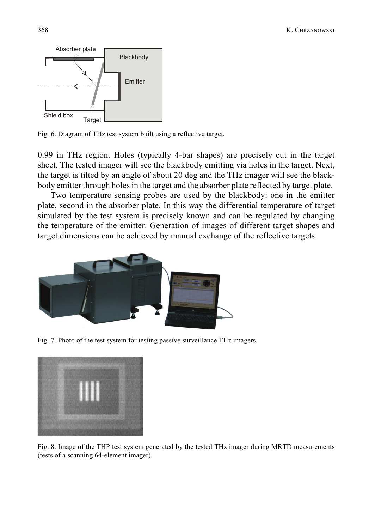

Fig. 6. Diagram of THz test system built using a reflective target.

0.99 in THz region. Holes (typically 4-bar shapes) are precisely cut in the target sheet. The tested imager will see the blackbody emitting via holes in the target. Next, the target is tilted by an angle of about 20 deg and the THz imager will see the blackbody emitter through holes in the target and the absorber plate reflected by target plate.

Two temperature sensing probes are used by the blackbody: one in the emitter plate, second in the absorber plate. In this way the differential temperature of target simulated by the test system is precisely known and can be regulated by changing the temperature of the emitter. Generation of images of different target shapes and target dimensions can be achieved by manual exchange of the reflective targets.



Fig. 7. Photo of the test system for testing passive surveillance THz imagers.



Fig. 8. Image of the THP test system generated by the tested THz imager during MRTD measurements (tests of a scanning 64-element imager).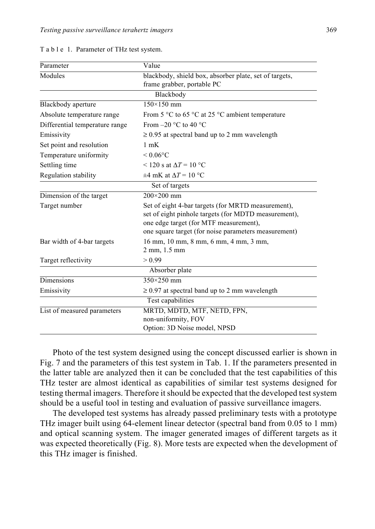| Parameter                      | Value                                                                                                                                                                                                        |
|--------------------------------|--------------------------------------------------------------------------------------------------------------------------------------------------------------------------------------------------------------|
| Modules                        | blackbody, shield box, absorber plate, set of targets,                                                                                                                                                       |
|                                | frame grabber, portable PC                                                                                                                                                                                   |
|                                | Blackbody                                                                                                                                                                                                    |
| Blackbody aperture             | $150\times150$ mm                                                                                                                                                                                            |
| Absolute temperature range     | From 5 $\degree$ C to 65 $\degree$ C at 25 $\degree$ C ambient temperature                                                                                                                                   |
| Differential temperature range | From $-20$ °C to 40 °C                                                                                                                                                                                       |
| Emissivity                     | $\geq$ 0.95 at spectral band up to 2 mm wavelength                                                                                                                                                           |
| Set point and resolution       | $1 \text{ mK}$                                                                                                                                                                                               |
| Temperature uniformity         | $< 0.06$ °C                                                                                                                                                                                                  |
| Settling time                  | $\leq$ 120 s at $\Delta T$ = 10 °C                                                                                                                                                                           |
| Regulation stability           | $\pm 4$ mK at $\Delta T = 10$ °C                                                                                                                                                                             |
|                                | Set of targets                                                                                                                                                                                               |
| Dimension of the target        | $200 \times 200$ mm                                                                                                                                                                                          |
| Target number                  | Set of eight 4-bar targets (for MRTD measurement),<br>set of eight pinhole targets (for MDTD measurement),<br>one edge target (for MTF measurement),<br>one square target (for noise parameters measurement) |
| Bar width of 4-bar targets     | 16 mm, 10 mm, 8 mm, 6 mm, 4 mm, 3 mm,<br>2 mm, 1.5 mm                                                                                                                                                        |
| Target reflectivity            | > 0.99                                                                                                                                                                                                       |
|                                | Absorber plate                                                                                                                                                                                               |
| Dimensions                     | $350 \times 250$ mm                                                                                                                                                                                          |
| Emissivity                     | $\geq$ 0.97 at spectral band up to 2 mm wavelength                                                                                                                                                           |
|                                | Test capabilities                                                                                                                                                                                            |
| List of measured parameters    | MRTD, MDTD, MTF, NETD, FPN,<br>non-uniformity, FOV<br>Option: 3D Noise model, NPSD                                                                                                                           |

T a b l e 1. Parameter of THz test system.

Photo of the test system designed using the concept discussed earlier is shown in Fig. 7 and the parameters of this test system in Tab. 1. If the parameters presented in the latter table are analyzed then it can be concluded that the test capabilities of this THz tester are almost identical as capabilities of similar test systems designed for testing thermal imagers. Therefore it should be expected that the developed test system should be a useful tool in testing and evaluation of passive surveillance imagers.

The developed test systems has already passed preliminary tests with a prototype THz imager built using 64-element linear detector (spectral band from 0.05 to 1 mm) and optical scanning system. The imager generated images of different targets as it was expected theoretically (Fig. 8). More tests are expected when the development of this THz imager is finished.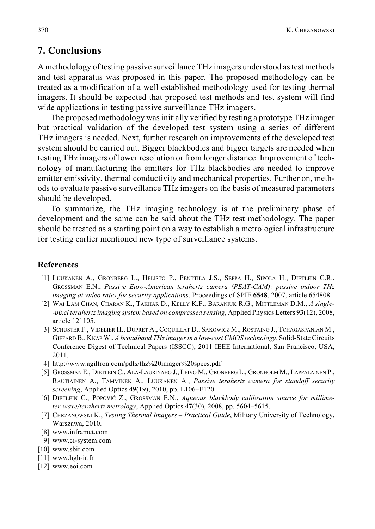## **7. Conclusions**

A methodology of testing passive surveillance THz imagers understood as test methods and test apparatus was proposed in this paper. The proposed methodology can be treated as a modification of a well established methodology used for testing thermal imagers. It should be expected that proposed test methods and test system will find wide applications in testing passive surveillance THz imagers.

The proposed methodology was initially verified by testing a prototype THz imager but practical validation of the developed test system using a series of different THz imagers is needed. Next, further research on improvements of the developed test system should be carried out. Bigger blackbodies and bigger targets are needed when testing THz imagers of lower resolution or from longer distance. Improvement of technology of manufacturing the emitters for THz blackbodies are needed to improve emitter emissivity, thermal conductivity and mechanical properties. Further on, methods to evaluate passive surveillance THz imagers on the basis of measured parameters should be developed.

To summarize, the THz imaging technology is at the preliminary phase of development and the same can be said about the THz test methodology. The paper should be treated as a starting point on a way to establish a metrological infrastructure for testing earlier mentioned new type of surveillance systems.

#### **References**

- [1] LUUKANEN A., GRÖNBERG L., HELISTÖ P., PENTTILÄ J.S., SEPPÄ H., SIPOLA H., DIETLEIN C.R., GROSSMAN E.N., *Passive Euro-American terahertz camera (PEAT-CAM): passive indoor THz imaging at video rates for security applications*, Proceedings of SPIE **6548**, 2007, article 654808.
- [2] WAI LAM CHAN, CHARAN K., TAKHAR D., KELLY K.F., BARANIUK R.G., MITTLEMAN D.M., *A single- -pixel terahertz imaging system based on compressed sensing*, Applied Physics Letters **93**(12), 2008, article 121105.
- [3] SCHUSTER F., VIDELIER H., DUPRET A., COQUILLAT D., SAKOWICZ M., ROSTAING J., TCHAGASPANIAN M., GIFFARD B., KNAP W., *A broadband THz imager in a low-cost CMOS technology*, Solid-State Circuits Conference Digest of Technical Papers (ISSCC), 2011 IEEE International, San Francisco, USA, 2011.
- [4] http://www.agiltron.com/pdfs/thz%20imager%20specs.pdf
- [5] GROSSMAN E., DIETLEIN C., ALA-LAURINAHO J., LEIVO M., GRONBERG L., GRONHOLM M., LAPPALAINEN P., RAUTIAINEN A., TAMMINEN A., LUUKANEN A., *Passive terahertz camera for standoff security screening*, Applied Optics **49**(19), 2010, pp. E106–E120.
- [6] DIETLEIN C., POPOVIĆ Z., GROSSMAN E.N., *Aqueous blackbody calibration source for millimeter-wave/terahertz metrology*, Applied Optics **47**(30), 2008, pp. 5604–5615.
- [7] CHRZANOWSKI K., *Testing Thermal Imagers Practical Guide*, Military University of Technology, Warszawa, 2010.
- [8] www.inframet.com
- [9] www.ci-system.com
- [10] www.sbir.com
- [11] www.hgh-ir.fr
- [12] www.eoi.com